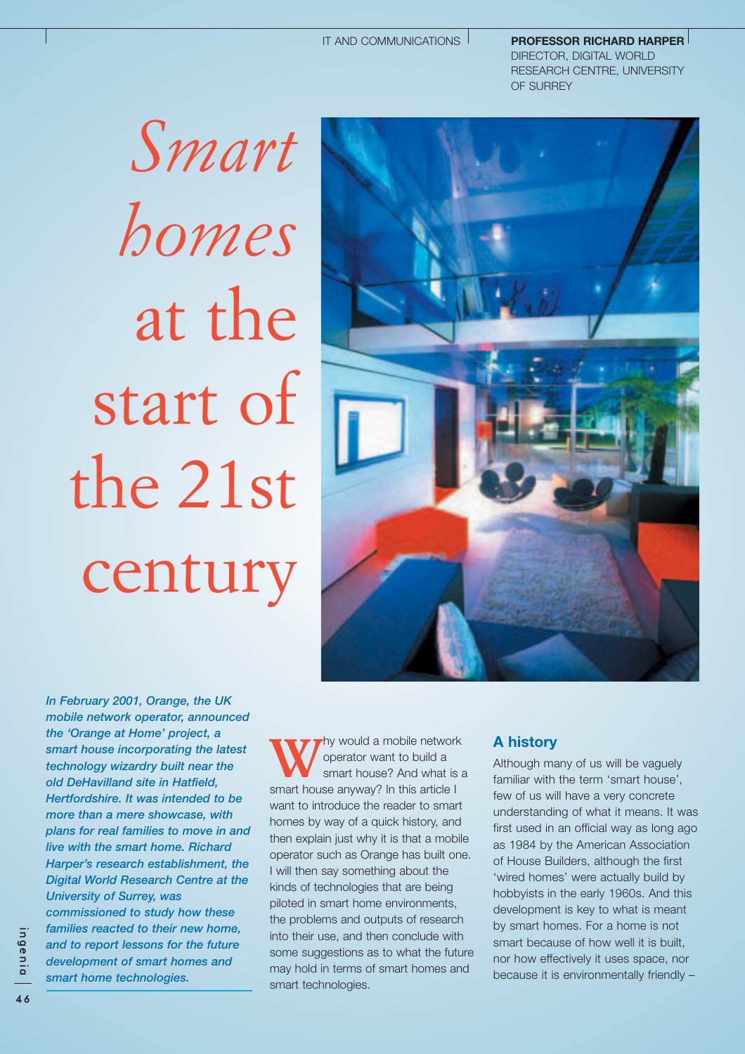#### IT AND COMMUNICATIONS

**PROFESSOR RICHARD HARPER**  DIRECTOR, DIGITAL WORLD RESEARCH CENTRE, UNIVERSITY OF SURREY

*Smart homes* at the start of the 21st century



*In February 2001, Orange, the UK mobile network operator, announced the 'Orange at Home' project, a smart house incorporating the latest technology wizardry built near the old DeHavilland site in Hatfield, Hertfordshire. It was intended to be more than a mere showcase, with plans for real families to move in and live with the smart home. Richard Harper's research establishment, the Digital World Research Centre at the University of Surrey, was commissioned to study how these families reacted to their new home, and to report lessons for the future development of smart homes and smart home technologies.* 

Why would a mobile network<br>
smart house? And what is a<br>
smart house approved in this article is operator want to build a smart house anyway? In this article I want to introduce the reader to smart homes by way of a quick history, and then explain just why it is that a mobile operator such as Orange has built one. I will then say something about the kinds of technologies that are being piloted in smart home environments, the problems and outputs of research into their use, and then conclude with some suggestions as to what the future may hold in terms of smart homes and smart technologies.

## **A history**

Although many of us will be vaguely familiar with the term 'smart house', few of us will have a very concrete understanding of what it means. It was first used in an official way as long ago as 1984 by the American Association of House Builders, although the first 'wired homes' were actually build by hobbyists in the early 1960s. And this development is key to what is meant by smart homes. For a home is not smart because of how well it is built, nor how effectively it uses space, nor because it is environmentally friendly –

ingenia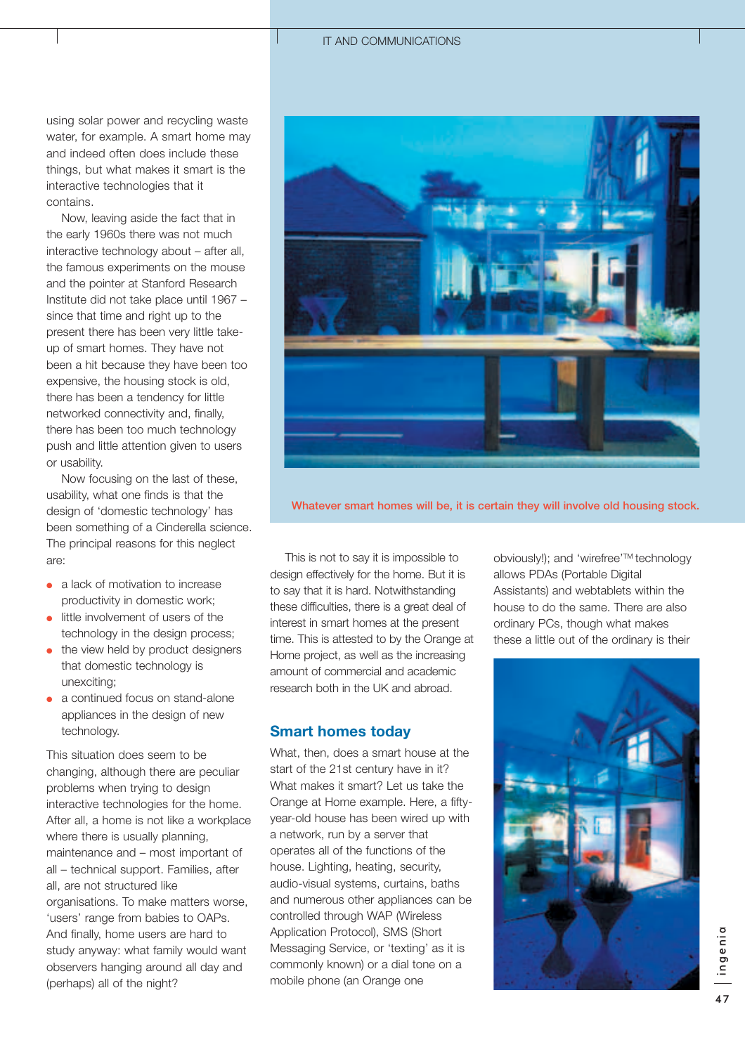using solar power and recycling waste water, for example. A smart home may and indeed often does include these things, but what makes it smart is the interactive technologies that it contains.

Now, leaving aside the fact that in the early 1960s there was not much interactive technology about – after all, the famous experiments on the mouse and the pointer at Stanford Research Institute did not take place until 1967 – since that time and right up to the present there has been very little takeup of smart homes. They have not been a hit because they have been too expensive, the housing stock is old, there has been a tendency for little networked connectivity and, finally, there has been too much technology push and little attention given to users or usability.

Now focusing on the last of these, usability, what one finds is that the design of 'domestic technology' has been something of a Cinderella science. The principal reasons for this neglect are:

- a lack of motivation to increase productivity in domestic work;
- little involvement of users of the technology in the design process;
- the view held by product designers that domestic technology is unexciting;
- a continued focus on stand-alone appliances in the design of new technology.

This situation does seem to be changing, although there are peculiar problems when trying to design interactive technologies for the home. After all, a home is not like a workplace where there is usually planning, maintenance and – most important of all – technical support. Families, after all, are not structured like organisations. To make matters worse, 'users' range from babies to OAPs. And finally, home users are hard to study anyway: what family would want observers hanging around all day and (perhaps) all of the night?



**Whatever smart homes will be, it is certain they will involve old housing stock.**

This is not to say it is impossible to design effectively for the home. But it is to say that it is hard. Notwithstanding these difficulties, there is a great deal of interest in smart homes at the present time. This is attested to by the Orange at Home project, as well as the increasing amount of commercial and academic research both in the UK and abroad.

# **Smart homes today**

What, then, does a smart house at the start of the 21st century have in it? What makes it smart? Let us take the Orange at Home example. Here, a fiftyyear-old house has been wired up with a network, run by a server that operates all of the functions of the house. Lighting, heating, security, audio-visual systems, curtains, baths and numerous other appliances can be controlled through WAP (Wireless Application Protocol), SMS (Short Messaging Service, or 'texting' as it is commonly known) or a dial tone on a mobile phone (an Orange one

obviously!); and 'wirefree'TM technology allows PDAs (Portable Digital Assistants) and webtablets within the house to do the same. There are also ordinary PCs, though what makes these a little out of the ordinary is their

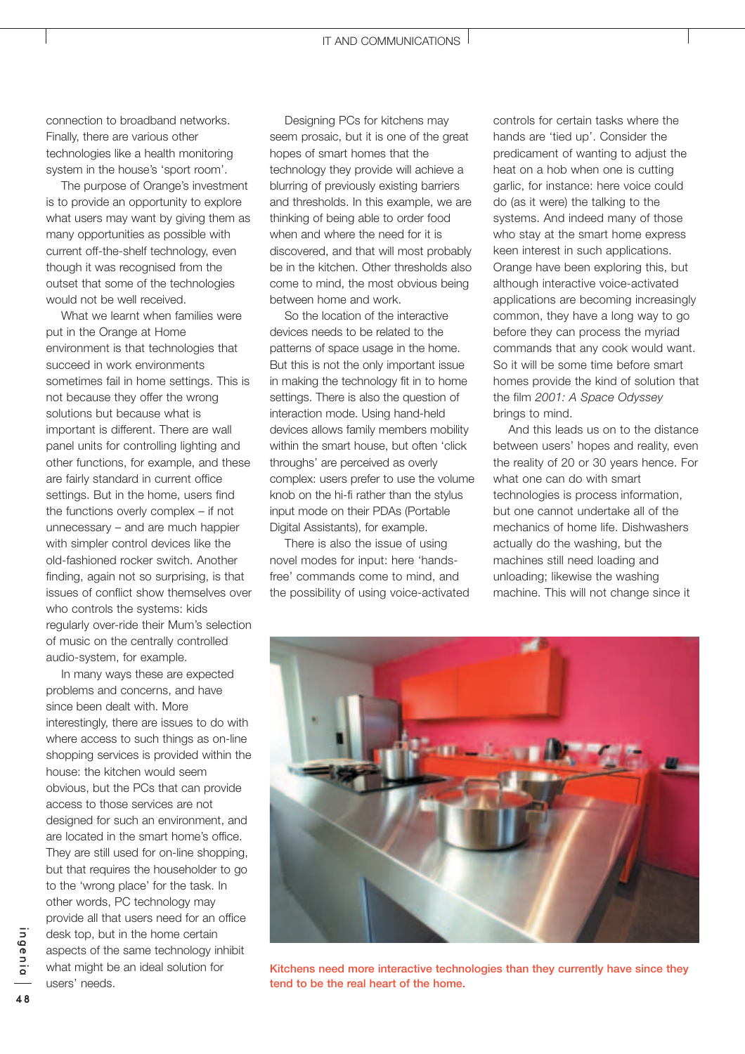connection to broadband networks. Finally, there are various other technologies like a health monitoring system in the house's 'sport room'.

The purpose of Orange's investment is to provide an opportunity to explore what users may want by giving them as many opportunities as possible with current off-the-shelf technology, even though it was recognised from the outset that some of the technologies would not be well received.

What we learnt when families were put in the Orange at Home environment is that technologies that succeed in work environments sometimes fail in home settings. This is not because they offer the wrong solutions but because what is important is different. There are wall panel units for controlling lighting and other functions, for example, and these are fairly standard in current office settings. But in the home, users find the functions overly complex – if not unnecessary – and are much happier with simpler control devices like the old-fashioned rocker switch. Another finding, again not so surprising, is that issues of conflict show themselves over who controls the systems: kids regularly over-ride their Mum's selection of music on the centrally controlled audio-system, for example.

In many ways these are expected problems and concerns, and have since been dealt with. More interestingly, there are issues to do with where access to such things as on-line shopping services is provided within the house: the kitchen would seem obvious, but the PCs that can provide access to those services are not designed for such an environment, and are located in the smart home's office. They are still used for on-line shopping. but that requires the householder to go to the 'wrong place' for the task. In other words, PC technology may provide all that users need for an office desk top, but in the home certain aspects of the same technology inhibit what might be an ideal solution for users' needs.

Designing PCs for kitchens may seem prosaic, but it is one of the great hopes of smart homes that the technology they provide will achieve a blurring of previously existing barriers and thresholds. In this example, we are thinking of being able to order food when and where the need for it is discovered, and that will most probably be in the kitchen. Other thresholds also come to mind, the most obvious being between home and work.

So the location of the interactive devices needs to be related to the patterns of space usage in the home. But this is not the only important issue in making the technology fit in to home settings. There is also the question of interaction mode. Using hand-held devices allows family members mobility within the smart house, but often 'click throughs' are perceived as overly complex: users prefer to use the volume knob on the hi-fi rather than the stylus input mode on their PDAs (Portable Digital Assistants), for example.

There is also the issue of using novel modes for input: here 'handsfree' commands come to mind, and the possibility of using voice-activated controls for certain tasks where the hands are 'tied up'. Consider the predicament of wanting to adjust the heat on a hob when one is cutting garlic, for instance: here voice could do (as it were) the talking to the systems. And indeed many of those who stay at the smart home express keen interest in such applications. Orange have been exploring this, but although interactive voice-activated applications are becoming increasingly common, they have a long way to go before they can process the myriad commands that any cook would want. So it will be some time before smart homes provide the kind of solution that the film *2001: A Space Odyssey* brings to mind.

And this leads us on to the distance between users' hopes and reality, even the reality of 20 or 30 years hence. For what one can do with smart technologies is process information, but one cannot undertake all of the mechanics of home life. Dishwashers actually do the washing, but the machines still need loading and unloading; likewise the washing machine. This will not change since it



**Kitchens need more interactive technologies than they currently have since they tend to be the real heart of the home.**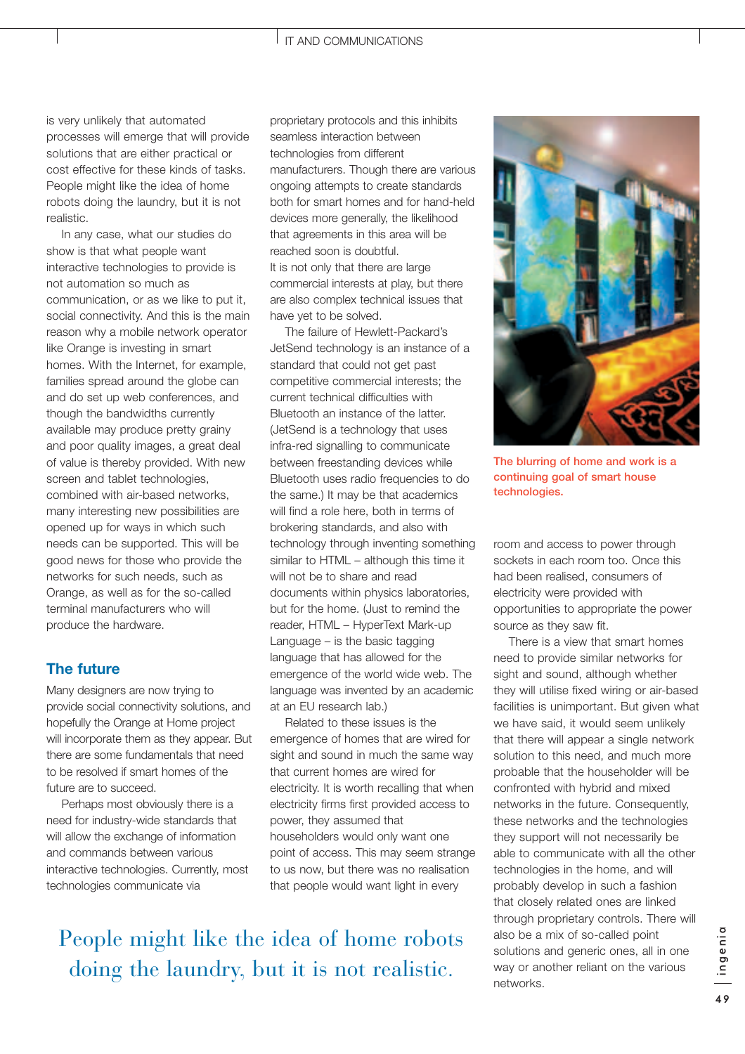is very unlikely that automated processes will emerge that will provide solutions that are either practical or cost effective for these kinds of tasks. People might like the idea of home robots doing the laundry, but it is not realistic.

In any case, what our studies do show is that what people want interactive technologies to provide is not automation so much as communication, or as we like to put it, social connectivity. And this is the main reason why a mobile network operator like Orange is investing in smart homes. With the Internet, for example, families spread around the globe can and do set up web conferences, and though the bandwidths currently available may produce pretty grainy and poor quality images, a great deal of value is thereby provided. With new screen and tablet technologies, combined with air-based networks, many interesting new possibilities are opened up for ways in which such needs can be supported. This will be good news for those who provide the networks for such needs, such as Orange, as well as for the so-called terminal manufacturers who will produce the hardware.

## **The future**

Many designers are now trying to provide social connectivity solutions, and hopefully the Orange at Home project will incorporate them as they appear. But there are some fundamentals that need to be resolved if smart homes of the future are to succeed.

Perhaps most obviously there is a need for industry-wide standards that will allow the exchange of information and commands between various interactive technologies. Currently, most technologies communicate via

proprietary protocols and this inhibits seamless interaction between technologies from different manufacturers. Though there are various ongoing attempts to create standards both for smart homes and for hand-held devices more generally, the likelihood that agreements in this area will be reached soon is doubtful. It is not only that there are large commercial interests at play, but there are also complex technical issues that have yet to be solved.

The failure of Hewlett-Packard's JetSend technology is an instance of a standard that could not get past competitive commercial interests; the current technical difficulties with Bluetooth an instance of the latter. (JetSend is a technology that uses infra-red signalling to communicate between freestanding devices while Bluetooth uses radio frequencies to do the same.) It may be that academics will find a role here, both in terms of brokering standards, and also with technology through inventing something similar to HTML – although this time it will not be to share and read documents within physics laboratories, but for the home. (Just to remind the reader, HTML – HyperText Mark-up Language – is the basic tagging language that has allowed for the emergence of the world wide web. The language was invented by an academic at an EU research lab.)

Related to these issues is the emergence of homes that are wired for sight and sound in much the same way that current homes are wired for electricity. It is worth recalling that when electricity firms first provided access to power, they assumed that householders would only want one point of access. This may seem strange to us now, but there was no realisation that people would want light in every

People might like the idea of home robots doing the laundry, but it is not realistic.



**The blurring of home and work is a continuing goal of smart house technologies.**

room and access to power through sockets in each room too. Once this had been realised, consumers of electricity were provided with opportunities to appropriate the power source as they saw fit.

There is a view that smart homes need to provide similar networks for sight and sound, although whether they will utilise fixed wiring or air-based facilities is unimportant. But given what we have said, it would seem unlikely that there will appear a single network solution to this need, and much more probable that the householder will be confronted with hybrid and mixed networks in the future. Consequently, these networks and the technologies they support will not necessarily be able to communicate with all the other technologies in the home, and will probably develop in such a fashion that closely related ones are linked through proprietary controls. There will also be a mix of so-called point solutions and generic ones, all in one way or another reliant on the various networks.